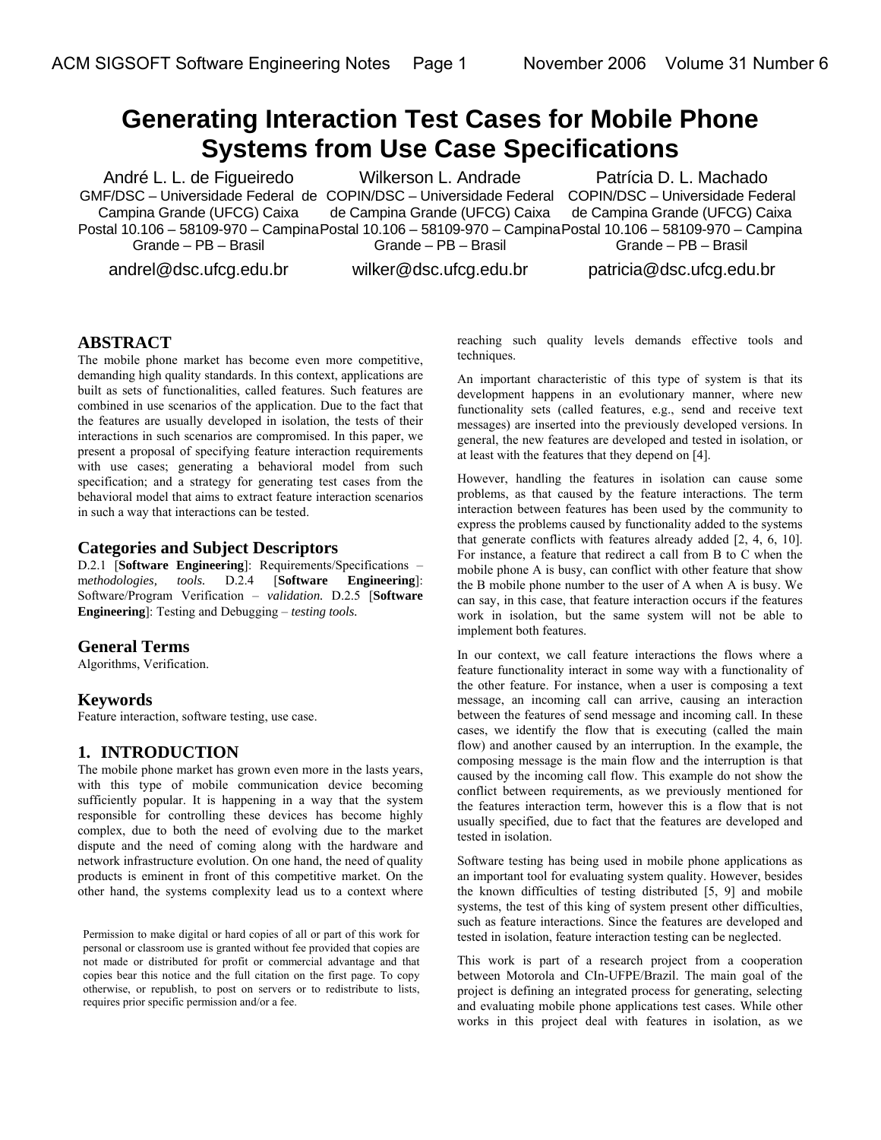# **Generating Interaction Test Cases for Mobile Phone Systems from Use Case Specifications**

André L. L. de Figueiredo GMF/DSC – Universidade Federal de COPIN/DSC – Universidade Federal COPIN/DSC – Universidade Federal Campina Grande (UFCG) Caixa Postal 10.106 – 58109-970 – Campina Postal 10.106 – 58109-970 – Campina Postal 10.106 – 58109-970 – Campina Grande – PB – Brasil Wilkerson L. Andrade de Campina Grande (UFCG) Caixa Grande – PB – Brasil Patrícia D. L. Machado de Campina Grande (UFCG) Caixa Grande – PB – Brasil

andrel@dsc.ufcg.edu.br

wilker@dsc.ufcg.edu.br

patricia@dsc.ufcg.edu.br

### **ABSTRACT**

The mobile phone market has become even more competitive, demanding high quality standards. In this context, applications are built as sets of functionalities, called features. Such features are combined in use scenarios of the application. Due to the fact that the features are usually developed in isolation, the tests of their interactions in such scenarios are compromised. In this paper, we present a proposal of specifying feature interaction requirements with use cases; generating a behavioral model from such specification; and a strategy for generating test cases from the behavioral model that aims to extract feature interaction scenarios in such a way that interactions can be tested.

### **Categories and Subject Descriptors**

D.2.1 [**Software Engineering**]: Requirements/Specifications – m*ethodologies, tools.* D.2.4 [**Software Engineering**]: Software/Program Verification – *validation.* D.2.5 [**Software Engineering**]: Testing and Debugging – *testing tools.* 

### **General Terms**

Algorithms, Verification.

# **Keywords**

Feature interaction, software testing, use case.

# **1. INTRODUCTION**

The mobile phone market has grown even more in the lasts years, with this type of mobile communication device becoming sufficiently popular. It is happening in a way that the system responsible for controlling these devices has become highly complex, due to both the need of evolving due to the market dispute and the need of coming along with the hardware and network infrastructure evolution. On one hand, the need of quality products is eminent in front of this competitive market. On the other hand, the systems complexity lead us to a context where

Permission to make digital or hard copies of all or part of this work for personal or classroom use is granted without fee provided that copies are not made or distributed for profit or commercial advantage and that copies bear this notice and the full citation on the first page. To copy otherwise, or republish, to post on servers or to redistribute to lists, requires prior specific permission and/or a fee.

reaching such quality levels demands effective tools and techniques.

An important characteristic of this type of system is that its development happens in an evolutionary manner, where new functionality sets (called features, e.g., send and receive text messages) are inserted into the previously developed versions. In general, the new features are developed and tested in isolation, or at least with the features that they depend on [4].

However, handling the features in isolation can cause some problems, as that caused by the feature interactions. The term interaction between features has been used by the community to express the problems caused by functionality added to the systems that generate conflicts with features already added [2, 4, 6, 10]. For instance, a feature that redirect a call from B to C when the mobile phone A is busy, can conflict with other feature that show the B mobile phone number to the user of A when A is busy. We can say, in this case, that feature interaction occurs if the features work in isolation, but the same system will not be able to implement both features.

In our context, we call feature interactions the flows where a feature functionality interact in some way with a functionality of the other feature. For instance, when a user is composing a text message, an incoming call can arrive, causing an interaction between the features of send message and incoming call. In these cases, we identify the flow that is executing (called the main flow) and another caused by an interruption. In the example, the composing message is the main flow and the interruption is that caused by the incoming call flow. This example do not show the conflict between requirements, as we previously mentioned for the features interaction term, however this is a flow that is not usually specified, due to fact that the features are developed and tested in isolation.

Software testing has being used in mobile phone applications as an important tool for evaluating system quality. However, besides the known difficulties of testing distributed [5, 9] and mobile systems, the test of this king of system present other difficulties, such as feature interactions. Since the features are developed and tested in isolation, feature interaction testing can be neglected.

This work is part of a research project from a cooperation between Motorola and CIn-UFPE/Brazil. The main goal of the project is defining an integrated process for generating, selecting and evaluating mobile phone applications test cases. While other works in this project deal with features in isolation, as we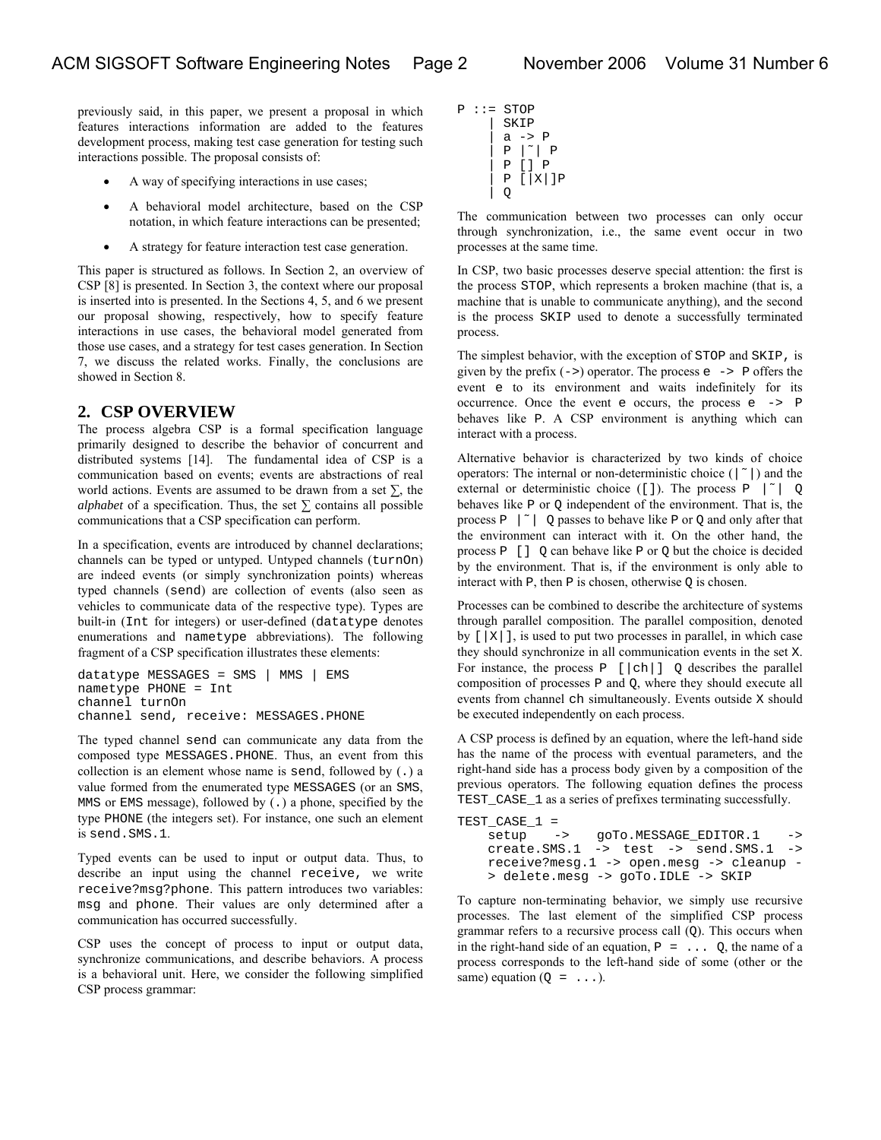- A way of specifying interactions in use cases;
- A behavioral model architecture, based on the CSP notation, in which feature interactions can be presented;
- A strategy for feature interaction test case generation.

This paper is structured as follows. In Section 2, an overview of CSP [8] is presented. In Section 3, the context where our proposal is inserted into is presented. In the Sections 4, 5, and 6 we present our proposal showing, respectively, how to specify feature interactions in use cases, the behavioral model generated from those use cases, and a strategy for test cases generation. In Section 7, we discuss the related works. Finally, the conclusions are showed in Section 8.

### **2. CSP OVERVIEW**

The process algebra CSP is a formal specification language primarily designed to describe the behavior of concurrent and distributed systems [14]. The fundamental idea of CSP is a communication based on events; events are abstractions of real world actions. Events are assumed to be drawn from a set  $\Sigma$ , the *alphabet* of a specification. Thus, the set  $\Sigma$  contains all possible communications that a CSP specification can perform.

In a specification, events are introduced by channel declarations; channels can be typed or untyped. Untyped channels (turnOn) are indeed events (or simply synchronization points) whereas typed channels (send) are collection of events (also seen as vehicles to communicate data of the respective type). Types are built-in (Int for integers) or user-defined (datatype denotes enumerations and nametype abbreviations). The following fragment of a CSP specification illustrates these elements:

```
datatype MESSAGES = SMS | MMS | EMS 
nametype PHONE = Int 
channel turnOn 
channel send, receive: MESSAGES.PHONE
```
The typed channel send can communicate any data from the composed type MESSAGES.PHONE. Thus, an event from this collection is an element whose name is send, followed by (.) a value formed from the enumerated type MESSAGES (or an SMS, MMS or EMS message), followed by (.) a phone, specified by the type PHONE (the integers set). For instance, one such an element is send.SMS.1.

Typed events can be used to input or output data. Thus, to describe an input using the channel receive, we write receive?msg?phone. This pattern introduces two variables: msg and phone. Their values are only determined after a communication has occurred successfully.

CSP uses the concept of process to input or output data, synchronize communications, and describe behaviors. A process is a behavioral unit. Here, we consider the following simplified CSP process grammar:

```
P : := STOP
         | SKIP 
         a \rightarrow P| P |˜| P 
      | P [] P 
        | P [|X|]P 
         \mathcal Q
```
The communication between two processes can only occur through synchronization, i.e., the same event occur in two processes at the same time.

In CSP, two basic processes deserve special attention: the first is the process STOP, which represents a broken machine (that is, a machine that is unable to communicate anything), and the second is the process SKIP used to denote a successfully terminated process.

The simplest behavior, with the exception of STOP and SKIP, is given by the prefix  $(-)$  operator. The process  $e \rightarrow$  P offers the event e to its environment and waits indefinitely for its occurrence. Once the event  $e$  occurs, the process  $e \rightarrow P$ behaves like P. A CSP environment is anything which can interact with a process.

Alternative behavior is characterized by two kinds of choice operators: The internal or non-deterministic choice  $(| \circ |)$  and the external or deterministic choice ([]). The process  $P \mid \uparrow$  | Q behaves like P or Q independent of the environment. That is, the process  $P \mid \tilde{ } \mid Q$  passes to behave like P or Q and only after that the environment can interact with it. On the other hand, the process  $P \mid ]$   $Q$  can behave like P or  $Q$  but the choice is decided by the environment. That is, if the environment is only able to interact with  $P$ , then  $P$  is chosen, otherwise  $Q$  is chosen.

Processes can be combined to describe the architecture of systems through parallel composition. The parallel composition, denoted by  $[|X|]$ , is used to put two processes in parallel, in which case they should synchronize in all communication events in the set X. For instance, the process  $P \mid |ch| \mid Q$  describes the parallel composition of processes P and Q, where they should execute all events from channel ch simultaneously. Events outside X should be executed independently on each process.

A CSP process is defined by an equation, where the left-hand side has the name of the process with eventual parameters, and the right-hand side has a process body given by a composition of the previous operators. The following equation defines the process TEST\_CASE\_1 as a series of prefixes terminating successfully.

```
TEST_CASE_1 = 
    setup -> goTo.MESSAGE_EDITOR.1 ->
    \frac{1}{\text{create.SMS.1}} -> test -> send. SMS.1 ->
    receive?mesg.1 -> open.mesg -> cleanup -
```
> delete.mesg -> goTo.IDLE -> SKIP

To capture non-terminating behavior, we simply use recursive processes. The last element of the simplified CSP process grammar refers to a recursive process call (Q). This occurs when in the right-hand side of an equation,  $P = \ldots Q$ , the name of a process corresponds to the left-hand side of some (other or the same) equation  $(Q = \ldots)$ .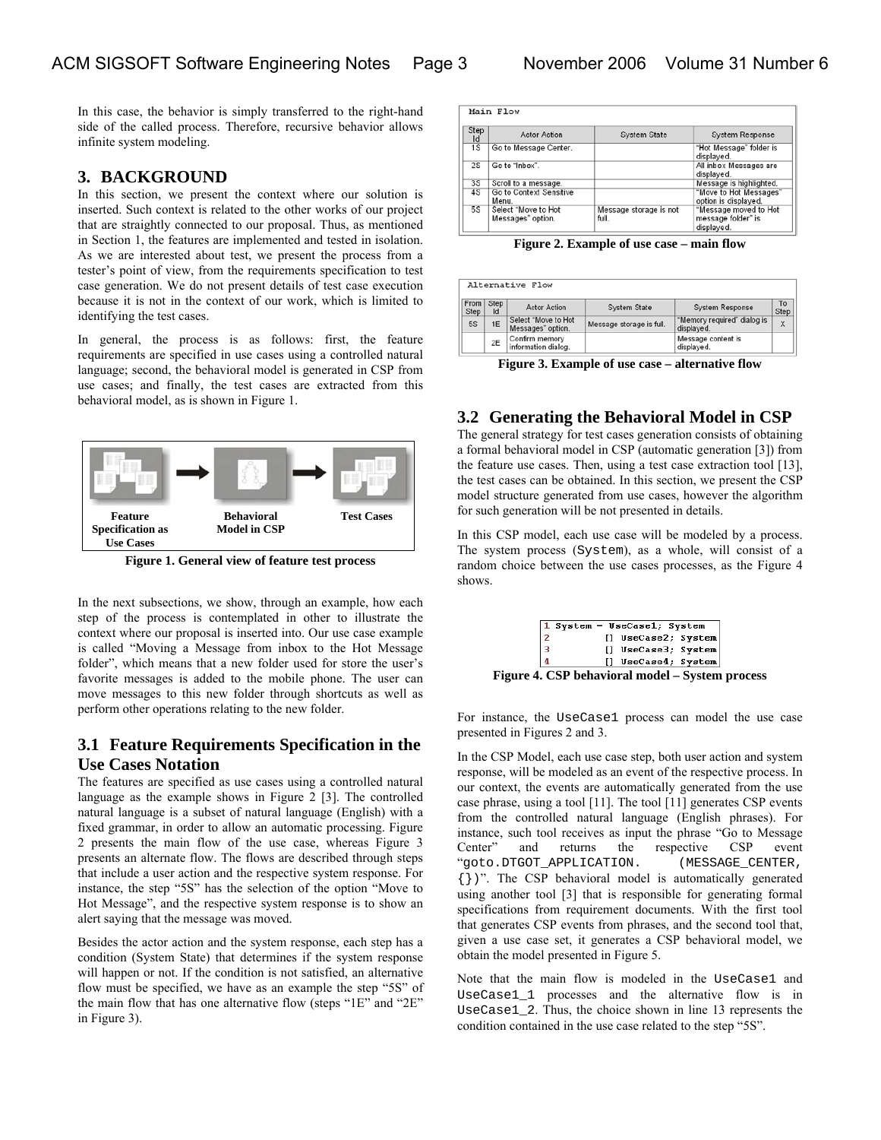In this case, the behavior is simply transferred to the right-hand side of the called process. Therefore, recursive behavior allows infinite system modeling.

#### **3. BACKGROUND**

In this section, we present the context where our solution is inserted. Such context is related to the other works of our project that are straightly connected to our proposal. Thus, as mentioned in Section 1, the features are implemented and tested in isolation. As we are interested about test, we present the process from a tester's point of view, from the requirements specification to test case generation. We do not present details of test case execution because it is not in the context of our work, which is limited to identifying the test cases.

In general, the process is as follows: first, the feature requirements are specified in use cases using a controlled natural language; second, the behavioral model is generated in CSP from use cases; and finally, the test cases are extracted from this behavioral model, as is shown in Figure 1.



**Figure 1. General view of feature test process** 

In the next subsections, we show, through an example, how each step of the process is contemplated in other to illustrate the context where our proposal is inserted into. Our use case example is called "Moving a Message from inbox to the Hot Message folder", which means that a new folder used for store the user's favorite messages is added to the mobile phone. The user can move messages to this new folder through shortcuts as well as perform other operations relating to the new folder.

# **3.1 Feature Requirements Specification in the Use Cases Notation**

The features are specified as use cases using a controlled natural language as the example shows in Figure 2 [3]. The controlled natural language is a subset of natural language (English) with a fixed grammar, in order to allow an automatic processing. Figure 2 presents the main flow of the use case, whereas Figure 3 presents an alternate flow. The flows are described through steps that include a user action and the respective system response. For instance, the step "5S" has the selection of the option "Move to Hot Message", and the respective system response is to show an alert saying that the message was moved.

Besides the actor action and the system response, each step has a condition (System State) that determines if the system response will happen or not. If the condition is not satisfied, an alternative flow must be specified, we have as an example the step "5S" of the main flow that has one alternative flow (steps "1E" and "2E" in Figure 3).

| Step<br>Id | <b>Actor Action</b>                      | System State                    | System Response                                           |
|------------|------------------------------------------|---------------------------------|-----------------------------------------------------------|
| 1S         | Go to Message Center.                    |                                 | "Hot Message" folder is<br>displayed.                     |
| 2S         | Go to "Inbox".                           |                                 | All inbox Messages are<br>displayed.                      |
| 3S         | Scroll to a message.                     |                                 | Message is highlighted.                                   |
| 4S         | Go to Context Sensitive<br>Menu.         |                                 | "Move to Hot Messages"<br>option is displayed.            |
| 5S         | Select "Move to Hot<br>Messages" option. | Message storage is not<br>full. | "Message moved to Hot<br>message folder" is<br>displayed. |

**Figure 2. Example of use case – main flow** 

|                | Alternative Flow |                                          |                          |                                           |            |
|----------------|------------------|------------------------------------------|--------------------------|-------------------------------------------|------------|
| From  <br>Step | Step<br>Id       | <b>Actor Action</b>                      | <b>System State</b>      | System Response                           | To<br>Step |
| <b>5S</b>      | 1E               | Select "Move to Hot<br>Messages" option. | Message storage is full. | "Memory required" dialog is<br>displayed. | X          |
|                | 2E               | Confirm memory<br>information dialog.    |                          | Message content is<br>displayed.          |            |

**Figure 3. Example of use case – alternative flow** 

### **3.2 Generating the Behavioral Model in CSP**

The general strategy for test cases generation consists of obtaining a formal behavioral model in CSP (automatic generation [3]) from the feature use cases. Then, using a test case extraction tool [13], the test cases can be obtained. In this section, we present the CSP model structure generated from use cases, however the algorithm for such generation will be not presented in details.

In this CSP model, each use case will be modeled by a process. The system process (System), as a whole, will consist of a random choice between the use cases processes, as the Figure 4 shows.



For instance, the UseCase1 process can model the use case presented in Figures 2 and 3.

In the CSP Model, each use case step, both user action and system response, will be modeled as an event of the respective process. In our context, the events are automatically generated from the use case phrase, using a tool [11]. The tool [11] generates CSP events from the controlled natural language (English phrases). For instance, such tool receives as input the phrase "Go to Message Center" and returns the respective CSP event "goto.DTGOT\_APPLICATION. (MESSAGE\_CENTER, {})". The CSP behavioral model is automatically generated using another tool [3] that is responsible for generating formal specifications from requirement documents. With the first tool that generates CSP events from phrases, and the second tool that, given a use case set, it generates a CSP behavioral model, we obtain the model presented in Figure 5.

Note that the main flow is modeled in the UseCase1 and UseCase1\_1 processes and the alternative flow is in UseCase1\_2. Thus, the choice shown in line 13 represents the condition contained in the use case related to the step "5S".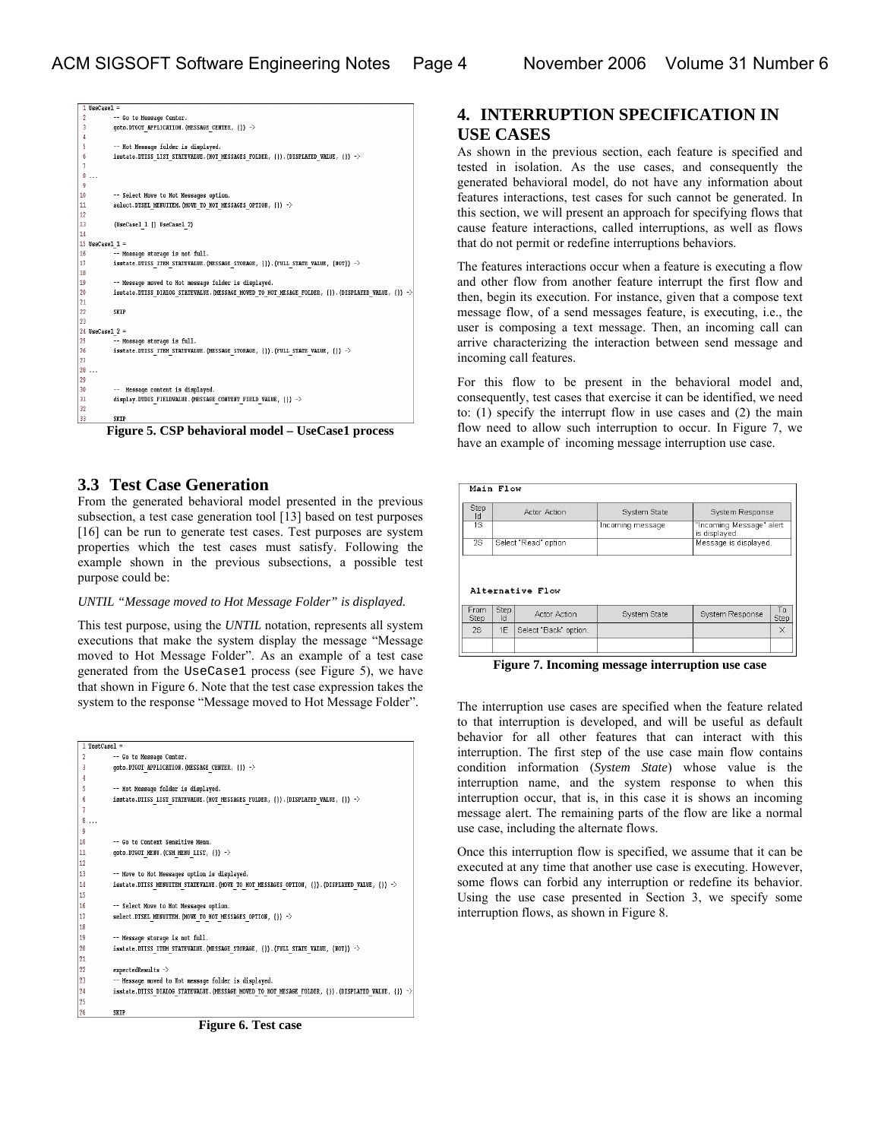

**Figure 5. CSP behavioral model – UseCase1 process** 

### **3.3 Test Case Generation**

From the generated behavioral model presented in the previous subsection, a test case generation tool [13] based on test purposes [16] can be run to generate test cases. Test purposes are system properties which the test cases must satisfy. Following the example shown in the previous subsections, a possible test purpose could be:

#### *UNTIL "Message moved to Hot Message Folder" is displayed.*

This test purpose, using the *UNTIL* notation, represents all system executions that make the system display the message "Message moved to Hot Message Folder". As an example of a test case generated from the UseCase1 process (see Figure 5), we have that shown in Figure 6. Note that the test case expression takes the system to the response "Message moved to Hot Message Folder".



**Figure 6. Test case** 

# **4. INTERRUPTION SPECIFICATION IN USE CASES**

As shown in the previous section, each feature is specified and tested in isolation. As the use cases, and consequently the generated behavioral model, do not have any information about features interactions, test cases for such cannot be generated. In this section, we will present an approach for specifying flows that cause feature interactions, called interruptions, as well as flows that do not permit or redefine interruptions behaviors.

The features interactions occur when a feature is executing a flow and other flow from another feature interrupt the first flow and then, begin its execution. For instance, given that a compose text message flow, of a send messages feature, is executing, i.e., the user is composing a text message. Then, an incoming call can arrive characterizing the interaction between send message and incoming call features.

For this flow to be present in the behavioral model and, consequently, test cases that exercise it can be identified, we need to: (1) specify the interrupt flow in use cases and (2) the main flow need to allow such interruption to occur. In Figure 7, we have an example of incoming message interruption use case.

| Step<br>Id          |            | Actor Action         | System State     | System Response                           |            |
|---------------------|------------|----------------------|------------------|-------------------------------------------|------------|
| 1S                  |            |                      | Incoming message | "Incoming Message" alert<br>is displayed. |            |
| 2S                  |            | Select "Read" option |                  | Message is displayed.                     |            |
|                     |            |                      |                  |                                           |            |
|                     |            | Alternative Flow     |                  |                                           |            |
| <b>From</b><br>Step | Step<br>Id | Actor Action         | System State     | System Response                           | To<br>Step |

**Figure 7. Incoming message interruption use case** 

The interruption use cases are specified when the feature related to that interruption is developed, and will be useful as default behavior for all other features that can interact with this interruption. The first step of the use case main flow contains condition information (*System State*) whose value is the interruption name, and the system response to when this interruption occur, that is, in this case it is shows an incoming message alert. The remaining parts of the flow are like a normal use case, including the alternate flows.

Once this interruption flow is specified, we assume that it can be executed at any time that another use case is executing. However, some flows can forbid any interruption or redefine its behavior. Using the use case presented in Section 3, we specify some interruption flows, as shown in Figure 8.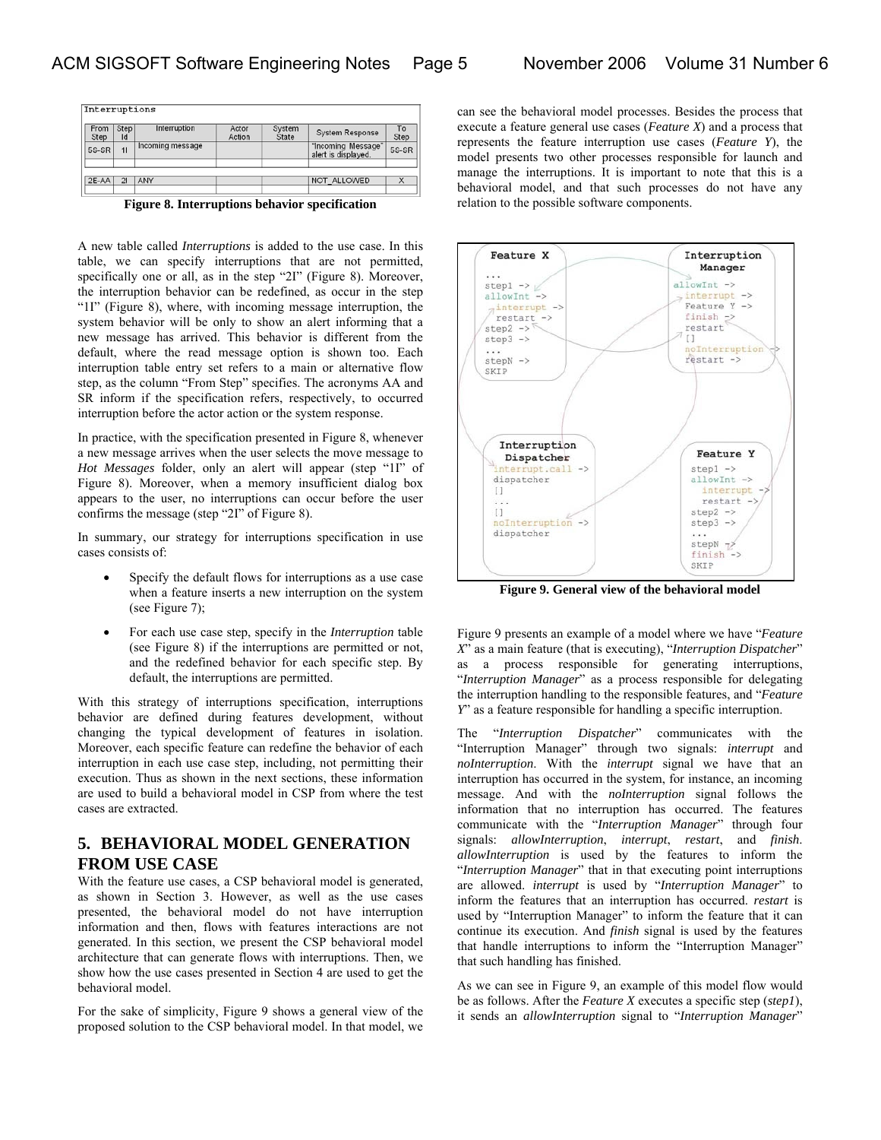| Interruptions |                |                  |                 |                 |                                           |            |
|---------------|----------------|------------------|-----------------|-----------------|-------------------------------------------|------------|
| From<br>Step  | Step<br>Id     | Interruption     | Actor<br>Action | System<br>State | <b>System Response</b>                    | Т٥<br>Step |
| 5S-SR         | 11             | Incoming message |                 |                 | "Incoming Message"<br>alert is displayed. | 5S-SR      |
| 2E-AA         | $\overline{2}$ | ANY              |                 |                 | NOT ALLOWED                               |            |
|               |                |                  |                 |                 |                                           |            |

**Figure 8. Interruptions behavior specification** 

A new table called *Interruptions* is added to the use case. In this table, we can specify interruptions that are not permitted, specifically one or all, as in the step "2I" (Figure 8). Moreover, the interruption behavior can be redefined, as occur in the step "1I" (Figure 8), where, with incoming message interruption, the system behavior will be only to show an alert informing that a new message has arrived. This behavior is different from the default, where the read message option is shown too. Each interruption table entry set refers to a main or alternative flow step, as the column "From Step" specifies. The acronyms AA and SR inform if the specification refers, respectively, to occurred interruption before the actor action or the system response.

In practice, with the specification presented in Figure 8, whenever a new message arrives when the user selects the move message to *Hot Messages* folder, only an alert will appear (step "1I" of Figure 8). Moreover, when a memory insufficient dialog box appears to the user, no interruptions can occur before the user confirms the message (step "2I" of Figure 8).

In summary, our strategy for interruptions specification in use cases consists of:

- Specify the default flows for interruptions as a use case when a feature inserts a new interruption on the system (see Figure 7);
- For each use case step, specify in the *Interruption* table (see Figure 8) if the interruptions are permitted or not, and the redefined behavior for each specific step. By default, the interruptions are permitted.

With this strategy of interruptions specification, interruptions behavior are defined during features development, without changing the typical development of features in isolation. Moreover, each specific feature can redefine the behavior of each interruption in each use case step, including, not permitting their execution. Thus as shown in the next sections, these information are used to build a behavioral model in CSP from where the test cases are extracted.

# **5. BEHAVIORAL MODEL GENERATION FROM USE CASE**

With the feature use cases, a CSP behavioral model is generated, as shown in Section 3. However, as well as the use cases presented, the behavioral model do not have interruption information and then, flows with features interactions are not generated. In this section, we present the CSP behavioral model architecture that can generate flows with interruptions. Then, we show how the use cases presented in Section 4 are used to get the behavioral model.

For the sake of simplicity, Figure 9 shows a general view of the proposed solution to the CSP behavioral model. In that model, we

can see the behavioral model processes. Besides the process that execute a feature general use cases (*Feature X*) and a process that represents the feature interruption use cases (*Feature Y*), the model presents two other processes responsible for launch and manage the interruptions. It is important to note that this is a behavioral model, and that such processes do not have any relation to the possible software components.



**Figure 9. General view of the behavioral model** 

Figure 9 presents an example of a model where we have "*Feature X*" as a main feature (that is executing), "*Interruption Dispatcher*" as a process responsible for generating interruptions, "*Interruption Manager*" as a process responsible for delegating the interruption handling to the responsible features, and "*Feature Y*" as a feature responsible for handling a specific interruption.

The "*Interruption Dispatcher*" communicates with the "Interruption Manager" through two signals: *interrupt* and *noInterruption*. With the *interrupt* signal we have that an interruption has occurred in the system, for instance, an incoming message. And with the *noInterruption* signal follows the information that no interruption has occurred. The features communicate with the "*Interruption Manager*" through four signals: *allowInterruption*, *interrupt*, *restart*, and *finish*. *allowInterruption* is used by the features to inform the "*Interruption Manager*" that in that executing point interruptions are allowed. *interrupt* is used by "*Interruption Manager*" to inform the features that an interruption has occurred. *restart* is used by "Interruption Manager" to inform the feature that it can continue its execution. And *finish* signal is used by the features that handle interruptions to inform the "Interruption Manager" that such handling has finished.

As we can see in Figure 9, an example of this model flow would be as follows. After the *Feature X* executes a specific step (*step1*), it sends an *allowInterruption* signal to "*Interruption Manager*"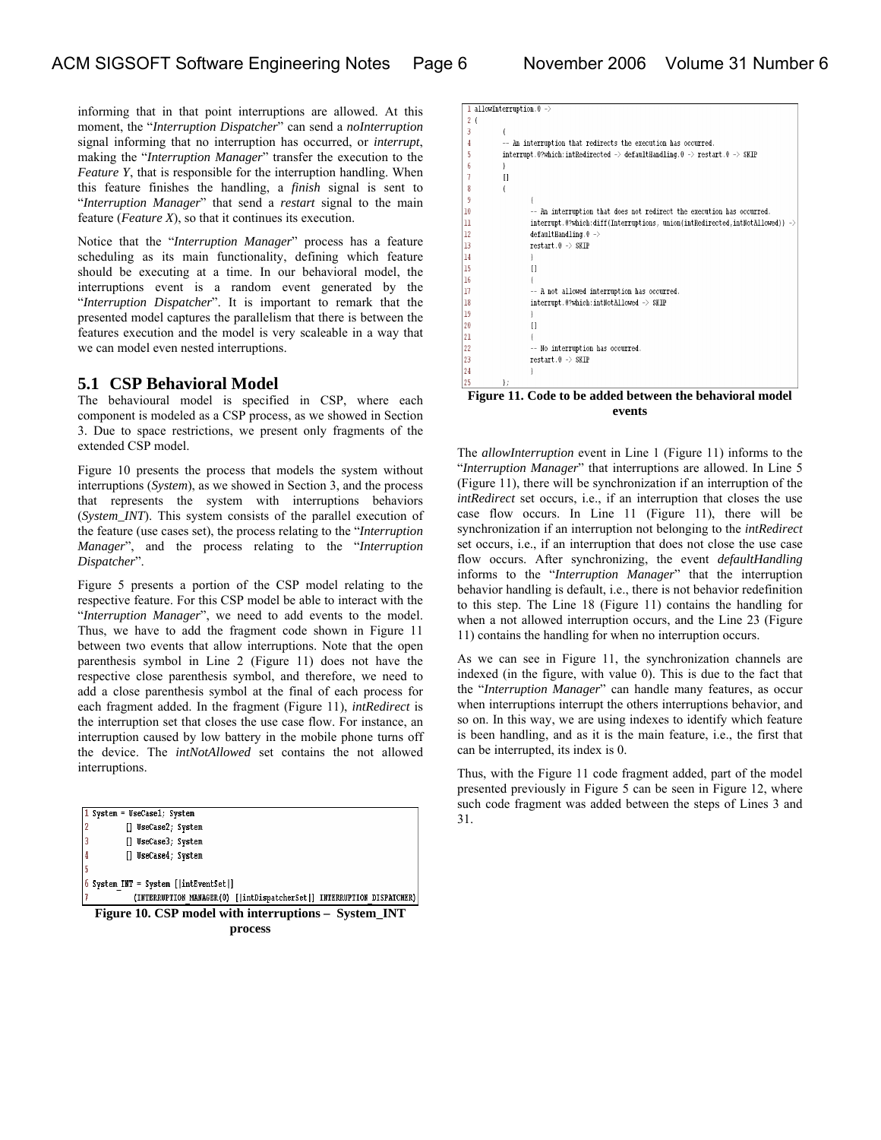informing that in that point interruptions are allowed. At this moment, the "*Interruption Dispatcher*" can send a *noInterruption* signal informing that no interruption has occurred, or *interrupt*, making the "*Interruption Manager*" transfer the execution to the *Feature Y*, that is responsible for the interruption handling. When this feature finishes the handling, a *finish* signal is sent to "*Interruption Manager*" that send a *restart* signal to the main feature (*Feature X*), so that it continues its execution.

Notice that the "*Interruption Manager*" process has a feature scheduling as its main functionality, defining which feature should be executing at a time. In our behavioral model, the interruptions event is a random event generated by the "*Interruption Dispatcher*". It is important to remark that the presented model captures the parallelism that there is between the features execution and the model is very scaleable in a way that we can model even nested interruptions.

### **5.1 CSP Behavioral Model**

The behavioural model is specified in CSP, where each component is modeled as a CSP process, as we showed in Section 3. Due to space restrictions, we present only fragments of the extended CSP model.

Figure 10 presents the process that models the system without interruptions (*System*), as we showed in Section 3, and the process that represents the system with interruptions behaviors (*System\_INT*). This system consists of the parallel execution of the feature (use cases set), the process relating to the "*Interruption Manager*", and the process relating to the "*Interruption Dispatcher*".

Figure 5 presents a portion of the CSP model relating to the respective feature. For this CSP model be able to interact with the "*Interruption Manager*", we need to add events to the model. Thus, we have to add the fragment code shown in Figure 11 between two events that allow interruptions. Note that the open parenthesis symbol in Line 2 (Figure 11) does not have the respective close parenthesis symbol, and therefore, we need to add a close parenthesis symbol at the final of each process for each fragment added. In the fragment (Figure 11), *intRedirect* is the interruption set that closes the use case flow. For instance, an interruption caused by low battery in the mobile phone turns off the device. The *intNotAllowed* set contains the not allowed interruptions.

|    | 1 System = UseCase1; System                                            |
|----|------------------------------------------------------------------------|
| -2 | [] UseCase2; System                                                    |
| 3  | [] UseCase3; System                                                    |
| 4  | [] UseCase4; System                                                    |
|    |                                                                        |
|    | 6 System INT = System [ intEventSet ]                                  |
|    | (INTERRUPTION MANAGER(0) [ intDispatcherSet ] INTERRUPTION DISPATCHER) |
|    | Figure 10. CSP model with interruptions – System INT                   |
|    | process                                                                |

|    | l allowinterruption.U ->                                                     |
|----|------------------------------------------------------------------------------|
|    |                                                                              |
| 3  |                                                                              |
|    | -- An interruption that redirects the execution has occurred.                |
|    | interrupt.0?which:intRedirected -> defaultHandling.0 -> restart.0 -> SKIP    |
|    |                                                                              |
|    | П                                                                            |
|    |                                                                              |
|    |                                                                              |
| 10 | -- An interruption that does not redirect the execution has occurred.        |
| 11 | interrupt.0?which:diff(Interruptions, union(intRedirected,intNotAllowed)) -> |
| 12 | $defaultHandling. 0 ->$                                                      |
| 13 | $restart.0 \Rightarrow$ SKIP                                                 |
| 14 |                                                                              |
| 15 |                                                                              |
| 16 |                                                                              |
| 17 | -- A not allowed interruption has occurred.                                  |
| 18 | interrupt.0?which:intNotAllowed -> SKIP                                      |
| 19 |                                                                              |
| 20 |                                                                              |
| 21 |                                                                              |
| 22 | -- No interruption has occurred.                                             |
| 23 | $restart.0 \rightarrow SKIP$                                                 |
| 24 |                                                                              |
| 25 | ۱,                                                                           |

**Figure 11. Code to be added between the behavioral model events** 

The *allowInterruption* event in Line 1 (Figure 11) informs to the "*Interruption Manager*" that interruptions are allowed. In Line 5 (Figure 11), there will be synchronization if an interruption of the *intRedirect* set occurs, i.e., if an interruption that closes the use case flow occurs. In Line 11 (Figure 11), there will be synchronization if an interruption not belonging to the *intRedirect* set occurs, i.e., if an interruption that does not close the use case flow occurs. After synchronizing, the event *defaultHandling* informs to the "*Interruption Manager*" that the interruption behavior handling is default, i.e., there is not behavior redefinition to this step. The Line 18 (Figure 11) contains the handling for when a not allowed interruption occurs, and the Line 23 (Figure 11) contains the handling for when no interruption occurs.

As we can see in Figure 11, the synchronization channels are indexed (in the figure, with value 0). This is due to the fact that the "*Interruption Manager*" can handle many features, as occur when interruptions interrupt the others interruptions behavior, and so on. In this way, we are using indexes to identify which feature is been handling, and as it is the main feature, i.e., the first that can be interrupted, its index is 0.

Thus, with the Figure 11 code fragment added, part of the model presented previously in Figure 5 can be seen in Figure 12, where such code fragment was added between the steps of Lines 3 and 31.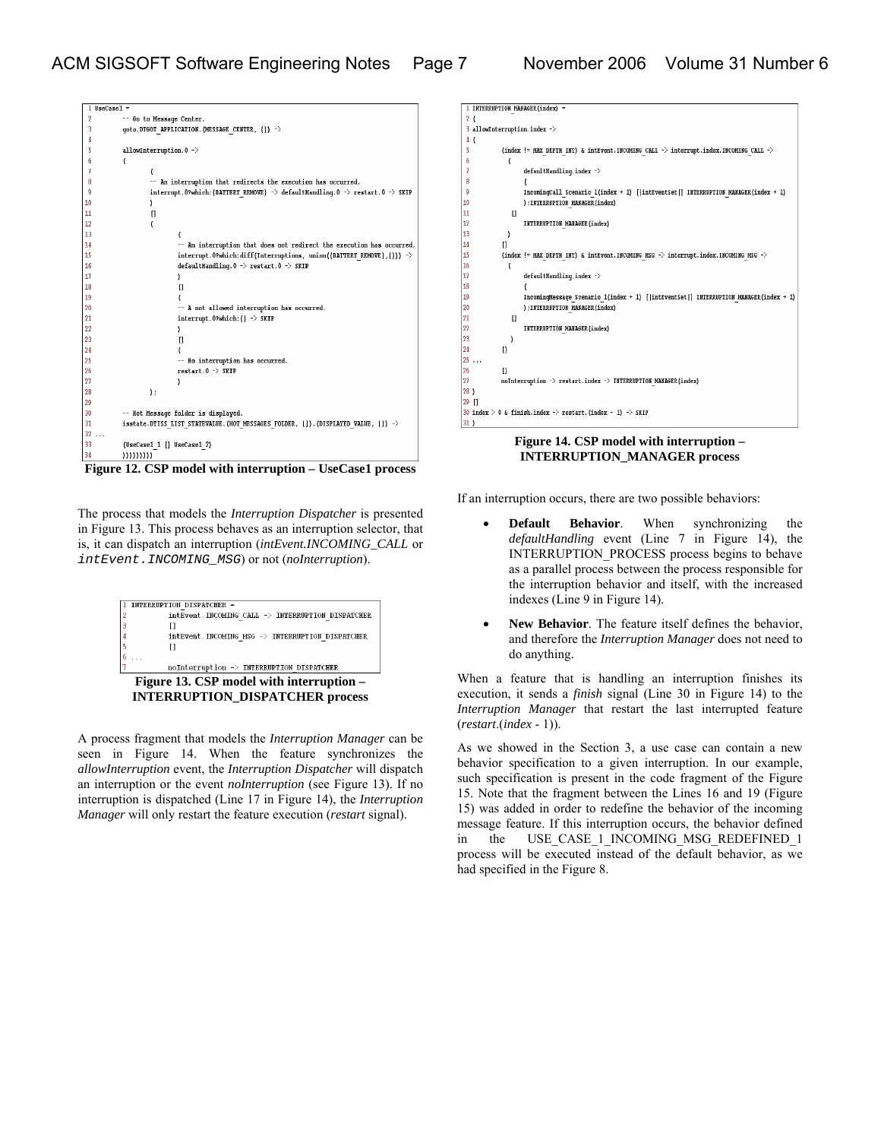| $1$ UseCase $1 =$                                                                        |  |
|------------------------------------------------------------------------------------------|--|
| $\overline{2}$<br>-- Go to Message Center.                                               |  |
| 3<br>qoto.DTGOT APPLICATION. (MESSAGE CENTER, {}) ->                                     |  |
| 4                                                                                        |  |
| allowInterruption.0 -><br>5                                                              |  |
| б                                                                                        |  |
| 7<br>l                                                                                   |  |
| -- An interruption that redirects the execution has occurred.<br>8                       |  |
| interrupt.0?which:{BATTERY REMOVE} -> defaultHandling.0 -> restart.0 -> SKIP<br>9        |  |
| 10<br>J.                                                                                 |  |
| 11<br>$\mathbf{I}$                                                                       |  |
| 12                                                                                       |  |
| 13<br>t                                                                                  |  |
| 14<br>-- An interruption that does not redirect the execution has occurred.              |  |
| interrupt.0?which:diff(Interruptions, union({BATTERY REMOVE},{})} -><br>15               |  |
| defaultHandling.0 -> restart.0 -> SKIP<br>16                                             |  |
| 17                                                                                       |  |
| 18<br>I1                                                                                 |  |
| 19                                                                                       |  |
| -- A not allowed interruption has occurred.<br>20                                        |  |
| 21<br>interrupt.0?which: $\{\} \rightarrow$ SKIP                                         |  |
| 22<br>J.                                                                                 |  |
| 23<br>Π                                                                                  |  |
| 24                                                                                       |  |
| 25<br>-- No interruption has occurred.                                                   |  |
| $restart.0 \rightarrow SKIP$<br>26                                                       |  |
| 27                                                                                       |  |
| 28<br>۱;                                                                                 |  |
| 29                                                                                       |  |
| -- Hot Message folder is displayed.<br>30                                                |  |
| isstate.DTISS LIST STATEVALUE. (HOT MESSAGES FOLDER, {}). (DISPLAYED VALUE, {}) -><br>31 |  |
| 32                                                                                       |  |
| 33<br>(UseCasel 1 [] UseCasel 2)                                                         |  |
| ,,,,,,,,,<br>34                                                                          |  |

**Figure 12. CSP model with interruption – UseCase1 process** 

The process that models the *Interruption Dispatcher* is presented in Figure 13. This process behaves as an interruption selector, that is, it can dispatch an interruption (*intEvent.INCOMING\_CALL* or *intEvent.INCOMING\_MSG*) or not (*noInterruption*).

| $E^*$ . $A^*$ $A^*$ $A^*$ $A^*$ $A^*$ $A^*$ $A^*$ $A^*$ $A^*$ $A^*$ $A^*$ $A^*$ $A^*$ $A^*$ $A^*$ $A^*$ $A^*$ $A^*$ $A^*$ $A^*$ $A^*$ $A^*$ $A^*$ $A^*$ $A^*$ $A^*$ $A^*$ $A^*$ $A^*$ $A^*$ $A^*$ $A^*$ $A^*$ $A^*$ $A^*$ $A^$ |
|--------------------------------------------------------------------------------------------------------------------------------------------------------------------------------------------------------------------------------|
| noInterruption -> INTERRUPTION DISPATCHER                                                                                                                                                                                      |
|                                                                                                                                                                                                                                |
|                                                                                                                                                                                                                                |
| intEvent.INCOMING MSG -> INTERRUPTION DISPATCHER                                                                                                                                                                               |
|                                                                                                                                                                                                                                |
| intEvent.INCOMING CALL -> INTERRUPTION DISPATCHER                                                                                                                                                                              |
| INTERRUPTION DISPATCHER =                                                                                                                                                                                                      |
|                                                                                                                                                                                                                                |

**Figure 13. CSP model with interruption – INTERRUPTION\_DISPATCHER process** 

A process fragment that models the *Interruption Manager* can be seen in Figure 14. When the feature synchronizes the *allowInterruption* event, the *Interruption Dispatcher* will dispatch an interruption or the event *noInterruption* (see Figure 13). If no interruption is dispatched (Line 17 in Figure 14), the *Interruption Manager* will only restart the feature execution (*restart* signal).



**Figure 14. CSP model with interruption – INTERRUPTION\_MANAGER process** 

If an interruption occurs, there are two possible behaviors:

- **Default Behavior**. When synchronizing the *defaultHandling* event (Line 7 in Figure 14), the INTERRUPTION\_PROCESS process begins to behave as a parallel process between the process responsible for the interruption behavior and itself, with the increased indexes (Line 9 in Figure 14).
- New Behavior. The feature itself defines the behavior, and therefore the *Interruption Manager* does not need to do anything.

When a feature that is handling an interruption finishes its execution, it sends a *finish* signal (Line 30 in Figure 14) to the *Interruption Manager* that restart the last interrupted feature (*restart*.(*index* - 1)).

As we showed in the Section 3, a use case can contain a new behavior specification to a given interruption. In our example, such specification is present in the code fragment of the Figure 15. Note that the fragment between the Lines 16 and 19 (Figure 15) was added in order to redefine the behavior of the incoming message feature. If this interruption occurs, the behavior defined in the USE CASE 1 INCOMING MSG REDEFINED 1 process will be executed instead of the default behavior, as we had specified in the Figure 8.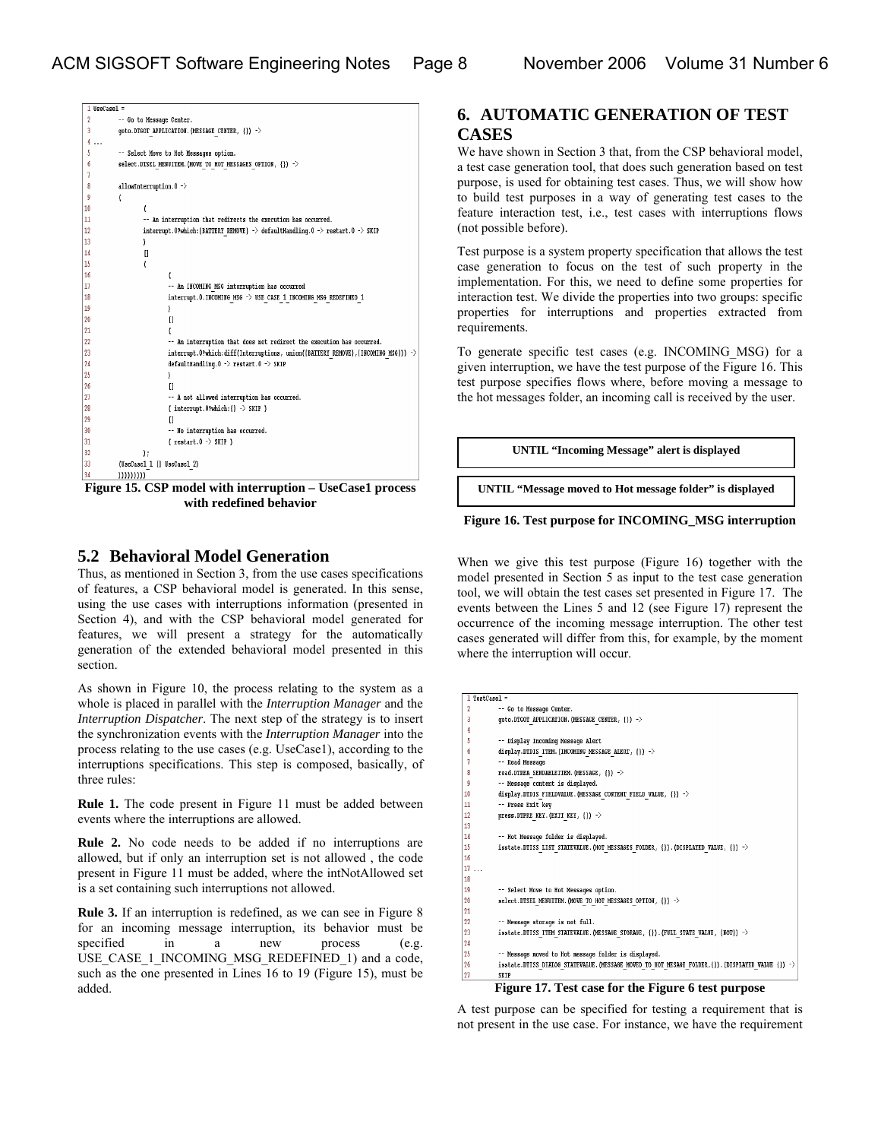

**Figure 15. CSP model with interruption – UseCase1 process with redefined behavior** 

### **5.2 Behavioral Model Generation**

Thus, as mentioned in Section 3, from the use cases specifications of features, a CSP behavioral model is generated. In this sense, using the use cases with interruptions information (presented in Section 4), and with the CSP behavioral model generated for features, we will present a strategy for the automatically generation of the extended behavioral model presented in this section.

As shown in Figure 10, the process relating to the system as a whole is placed in parallel with the *Interruption Manager* and the *Interruption Dispatcher*. The next step of the strategy is to insert the synchronization events with the *Interruption Manager* into the process relating to the use cases (e.g. UseCase1), according to the interruptions specifications. This step is composed, basically, of three rules:

**Rule 1.** The code present in Figure 11 must be added between events where the interruptions are allowed.

**Rule 2.** No code needs to be added if no interruptions are allowed, but if only an interruption set is not allowed , the code present in Figure 11 must be added, where the intNotAllowed set is a set containing such interruptions not allowed.

**Rule 3.** If an interruption is redefined, as we can see in Figure 8 for an incoming message interruption, its behavior must be specified in a new process (e.g. USE\_CASE\_1\_INCOMING\_MSG\_REDEFINED\_1) and a code, such as the one presented in Lines 16 to 19 (Figure 15), must be added.

# **6. AUTOMATIC GENERATION OF TEST CASES**

We have shown in Section 3 that, from the CSP behavioral model, a test case generation tool, that does such generation based on test purpose, is used for obtaining test cases. Thus, we will show how to build test purposes in a way of generating test cases to the feature interaction test, i.e., test cases with interruptions flows (not possible before).

Test purpose is a system property specification that allows the test case generation to focus on the test of such property in the implementation. For this, we need to define some properties for interaction test. We divide the properties into two groups: specific properties for interruptions and properties extracted from requirements.

To generate specific test cases (e.g. INCOMING\_MSG) for a given interruption, we have the test purpose of the Figure 16. This test purpose specifies flows where, before moving a message to the hot messages folder, an incoming call is received by the user.

**UNTIL "Incoming Message" alert is displayed** 

**UNTIL "Message moved to Hot message folder" is displayed** 

#### **Figure 16. Test purpose for INCOMING\_MSG interruption**

When we give this test purpose (Figure 16) together with the model presented in Section 5 as input to the test case generation tool, we will obtain the test cases set presented in Figure 17. The events between the Lines 5 and 12 (see Figure 17) represent the occurrence of the incoming message interruption. The other test cases generated will differ from this, for example, by the moment where the interruption will occur.

```
1 TestCase1 =-- Go to Message Center.
              goto.DTGOT APPLICATION.(MESSAGE CENTER, {}) ->
             -- Display Incoming Message Alert
 5
              display.DTDIS_ITEM.(INCOMING_MESSAGE_ALERT, {}) ->
 \overline{6}7
              -- Read Message
              read. DTREA SENDABLEITEM. (MESSAGE, \{\}\ ->
 \overline{8}-- Message content is displayed.
10
              display.DTDIS_FIELDVALUE.(MESSAGE_CONTENT_FIELD_VALUE, {}) ->
              -- Press Exit key
\begin{array}{c} 11 \\ 12 \end{array}\texttt{press.DTPRE} \xrightarrow{\texttt{KEY}} (\texttt{EXT\_KEY}, \ {\}) \rightarrow\overline{13}14\,-- Hot Message folder is displayed.
15\,isstate.DTISS LIST STATEVALUE. (HOT MESSAGES FOLDER, {}). (DISPLAYED VALUE, {}) ->
\frac{16}{17}...
\overline{18}19
              -- Select Move to Hot Messages option.
\begin{array}{c} 20 \\ 21 \\ 22 \\ 23 \end{array}select.DTSEL MENUITEM. (MOVE TO HOT MESSAGES OPTION, {}) ->
              -- Message storage is not full.
             isstate.DTISS ITEM STATEVALUE. (MESSAGE STORAGE, {}). (FULL STATE VALUE, {HOT}) ->
24
25
              -- Message moved to Hot message folder is displayed.
\begin{array}{c} 26 \\ 27 \end{array}isstate.DTISS_DIALOG_STATEVALUE.(MESSAGE_MOVED_TO_HOT_MESAGE_FOLDER,{}).(DISPLAYED_VALUE {}) ->
              SKIP
```
**Figure 17. Test case for the Figure 6 test purpose** 

A test purpose can be specified for testing a requirement that is not present in the use case. For instance, we have the requirement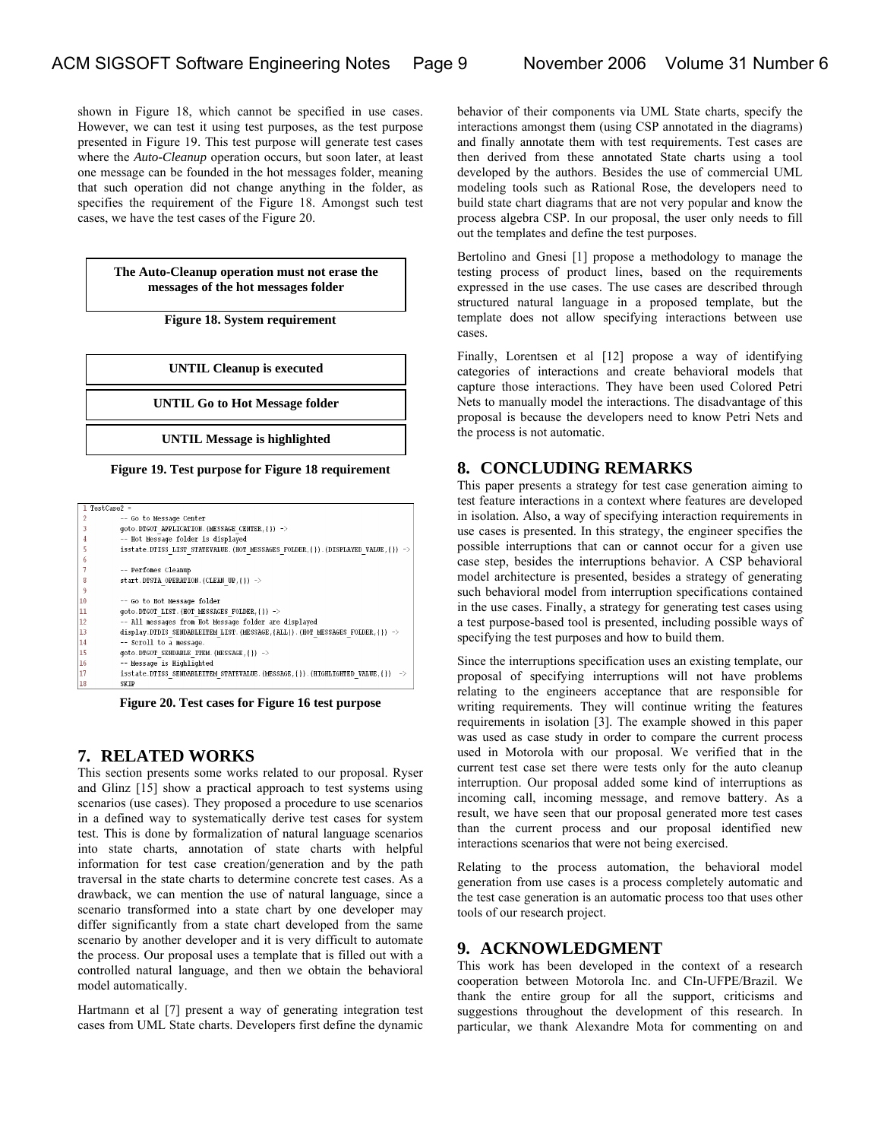shown in Figure 18, which cannot be specified in use cases. However, we can test it using test purposes, as the test purpose presented in Figure 19. This test purpose will generate test cases where the *Auto-Cleanup* operation occurs, but soon later, at least one message can be founded in the hot messages folder, meaning that such operation did not change anything in the folder, as specifies the requirement of the Figure 18. Amongst such test cases, we have the test cases of the Figure 20.

> **The Auto-Cleanup operation must not erase the messages of the hot messages folder**

**Figure 18. System requirement** 



**Figure 19. Test purpose for Figure 18 requirement** 

| $TestCase2 =$ |                                                                                            |
|---------------|--------------------------------------------------------------------------------------------|
|               | -- Go to Message Center                                                                    |
|               | qoto.DTGOT APPLICATION. (MESSAGE CENTER, {}) ->                                            |
|               | -- Hot Message folder is displayed                                                         |
|               | isstate.DTISS LIST STATEVALUE.(HOT MESSAGES FOLDER,{}).(DISPLAYED VALUE,{}) ->             |
|               |                                                                                            |
|               | -- Perfomes Cleanup                                                                        |
|               | start.DTSTA OPERATION. (CLEAN UP, {}) ->                                                   |
|               |                                                                                            |
| 10            | -- Go to Hot Message folder                                                                |
| 11            | $qoto.DIGOT LIST. (HOT MESSAGES FOLDER, \{\})$ ->                                          |
| 12            | -- All messages from Hot Message folder are displayed                                      |
| 13            | display. DTDIS SENDABLEITEM LIST. (MESSAGE, {ALL}). (HOT MESSAGES FOLDER, {}) ->           |
| 14            | -- Scroll to a message.                                                                    |
| 15            | qoto.DTGOT SENDABLE ITEM. (MESSAGE, {}) ->                                                 |
| 16            | -- Message is Highlighted                                                                  |
| 17            | isstate.DTISS SENDABLEITEM STATEVALUE.(MESSAGE,{}).(HIGHLIGHTED VALUE,{})<br>$\rightarrow$ |
| 18            | <b>SKTP</b>                                                                                |

**Figure 20. Test cases for Figure 16 test purpose** 

# **7. RELATED WORKS**

This section presents some works related to our proposal. Ryser and Glinz [15] show a practical approach to test systems using scenarios (use cases). They proposed a procedure to use scenarios in a defined way to systematically derive test cases for system test. This is done by formalization of natural language scenarios into state charts, annotation of state charts with helpful information for test case creation/generation and by the path traversal in the state charts to determine concrete test cases. As a drawback, we can mention the use of natural language, since a scenario transformed into a state chart by one developer may differ significantly from a state chart developed from the same scenario by another developer and it is very difficult to automate the process. Our proposal uses a template that is filled out with a controlled natural language, and then we obtain the behavioral model automatically.

Hartmann et al [7] present a way of generating integration test cases from UML State charts. Developers first define the dynamic behavior of their components via UML State charts, specify the interactions amongst them (using CSP annotated in the diagrams) and finally annotate them with test requirements. Test cases are then derived from these annotated State charts using a tool developed by the authors. Besides the use of commercial UML modeling tools such as Rational Rose, the developers need to build state chart diagrams that are not very popular and know the process algebra CSP. In our proposal, the user only needs to fill out the templates and define the test purposes.

Bertolino and Gnesi [1] propose a methodology to manage the testing process of product lines, based on the requirements expressed in the use cases. The use cases are described through structured natural language in a proposed template, but the template does not allow specifying interactions between use cases.

Finally, Lorentsen et al [12] propose a way of identifying categories of interactions and create behavioral models that capture those interactions. They have been used Colored Petri Nets to manually model the interactions. The disadvantage of this proposal is because the developers need to know Petri Nets and the process is not automatic.

# **8. CONCLUDING REMARKS**

This paper presents a strategy for test case generation aiming to test feature interactions in a context where features are developed in isolation. Also, a way of specifying interaction requirements in use cases is presented. In this strategy, the engineer specifies the possible interruptions that can or cannot occur for a given use case step, besides the interruptions behavior. A CSP behavioral model architecture is presented, besides a strategy of generating such behavioral model from interruption specifications contained in the use cases. Finally, a strategy for generating test cases using a test purpose-based tool is presented, including possible ways of specifying the test purposes and how to build them.

Since the interruptions specification uses an existing template, our proposal of specifying interruptions will not have problems relating to the engineers acceptance that are responsible for writing requirements. They will continue writing the features requirements in isolation [3]. The example showed in this paper was used as case study in order to compare the current process used in Motorola with our proposal. We verified that in the current test case set there were tests only for the auto cleanup interruption. Our proposal added some kind of interruptions as incoming call, incoming message, and remove battery. As a result, we have seen that our proposal generated more test cases than the current process and our proposal identified new interactions scenarios that were not being exercised.

Relating to the process automation, the behavioral model generation from use cases is a process completely automatic and the test case generation is an automatic process too that uses other tools of our research project.

### **9. ACKNOWLEDGMENT**

This work has been developed in the context of a research cooperation between Motorola Inc. and CIn-UFPE/Brazil. We thank the entire group for all the support, criticisms and suggestions throughout the development of this research. In particular, we thank Alexandre Mota for commenting on and